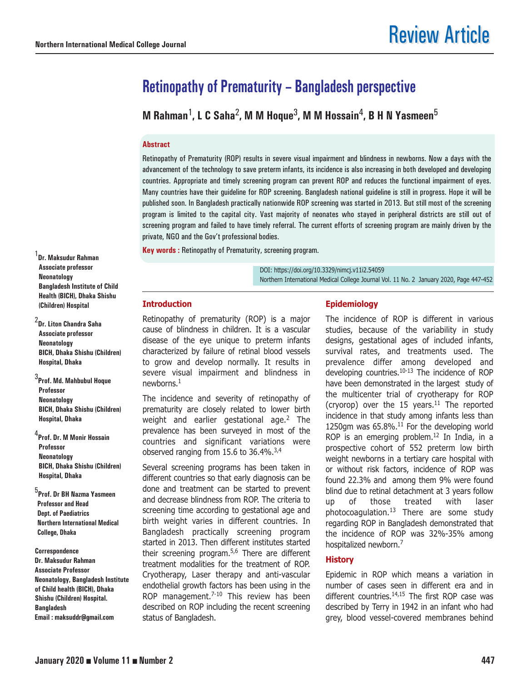# **Retinopathy of Prematurity – Bangladesh perspective**

**M Rahman**1**, L C Saha**2**, M M Hoque**3**, M M Hossain**4**, B H N Yasmeen**<sup>5</sup>

# **Abstract**

Retinopathy of Prematurity (ROP) results in severe visual impairment and blindness in newborns. Now a days with the advancement of the technology to save preterm infants, its incidence is also increasing in both developed and developing countries. Appropriate and timely screening program can prevent ROP and reduces the functional impairment of eyes. Many countries have their guideline for ROP screening. Bangladesh national guideline is still in progress. Hope it will be published soon. In Bangladesh practically nationwide ROP screening was started in 2013. But still most of the screening program is limited to the capital city. Vast majority of neonates who stayed in peripheral districts are still out of screening program and failed to have timely referral. The current efforts of screening program are mainly driven by the private, NGO and the Gov't professional bodies.

**Key words :** Retinopathy of Prematurity, screening program.

DOI: https://doi.org/10.3329/nimcj.v11i2.54059 Northern International Medical College Journal Vol. 11 No. 2 January 2020, Page 447-452

#### **Introduction**

Retinopathy of prematurity (ROP) is a major cause of blindness in children. It is a vascular disease of the eye unique to preterm infants characterized by failure of retinal blood vessels to grow and develop normally. It results in severe visual impairment and blindness in newborns.1

The incidence and severity of retinopathy of prematurity are closely related to lower birth weight and earlier gestational age.<sup>2</sup> The prevalence has been surveyed in most of the countries and significant variations were observed ranging from 15.6 to  $36.4\%$ .<sup>3,4</sup>

Several screening programs has been taken in different countries so that early diagnosis can be done and treatment can be started to prevent and decrease blindness from ROP. The criteria to screening time according to gestational age and birth weight varies in different countries. In Bangladesh practically screening program started in 2013. Then different institutes started their screening program.5,6 There are different treatment modalities for the treatment of ROP. Cryotherapy, Laser therapy and anti-vascular endothelial growth factors has been using in the ROP management. $7-10$  This review has been described on ROP including the recent screening status of Bangladesh.

## **Epidemiology**

The incidence of ROP is different in various studies, because of the variability in study designs, gestational ages of included infants, survival rates, and treatments used. The prevalence differ among developed and developing countries.<sup>10-13</sup> The incidence of ROP have been demonstrated in the largest study of the multicenter trial of cryotherapy for ROP (cryorop) over the 15 years.<sup>11</sup> The reported incidence in that study among infants less than 1250gm was  $65.8\%$ .<sup>11</sup> For the developing world ROP is an emerging problem.<sup>12</sup> In India, in a prospective cohort of 552 preterm low birth weight newborns in a tertiary care hospital with or without risk factors, incidence of ROP was found 22.3% and among them 9% were found blind due to retinal detachment at 3 years follow up of those treated with laser photocoagulation. $13$  There are some study regarding ROP in Bangladesh demonstrated that the incidence of ROP was 32%-35% among hospitalized newborn.7

# **History**

Epidemic in ROP which means a variation in number of cases seen in different era and in different countries. $14,15$  The first ROP case was described by Terry in 1942 in an infant who had grey, blood vessel-covered membranes behind

1 **Dr. Maksudur Rahman Associate professor Neonatology Bangladesh Institute of Child Health (BICH), Dhaka Shishu (Children) Hospital** 

2 **Dr. Liton Chandra Saha Associate professor Neonatology BICH, Dhaka Shishu (Children) Hospital, Dhaka**

3 **Prof. Md. Mahbubul Hoque Professor Neonatology BICH, Dhaka Shishu (Children) Hospital, Dhaka** 

4 **Prof. Dr. M Monir Hossain Professor Neonatology BICH, Dhaka Shishu (Children) Hospital, Dhaka** 

5 **Prof. Dr BH Nazma Yasmeen Professor and Head Dept. of Paediatrics Northern International Medical College, Dhaka**

**Correspondence Dr. Maksudur Rahman Associate Professor Neonatology, Bangladesh Institute of Child health (BICH), Dhaka Shishu (Children) Hospital. Bangladesh Email : maksuddr@gmail.com**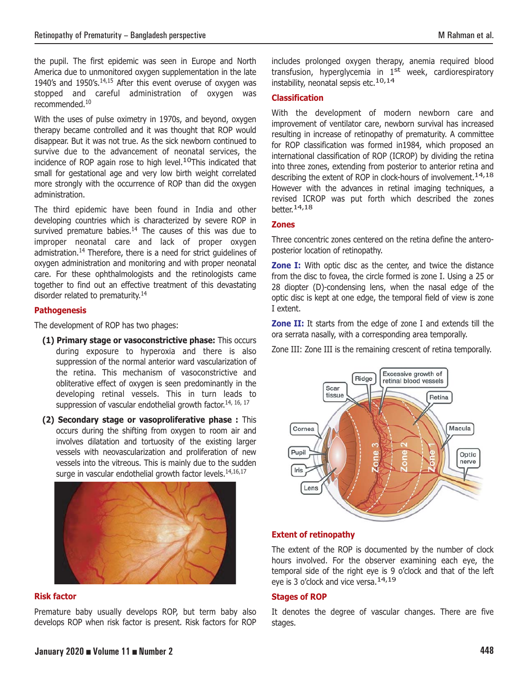the pupil. The first epidemic was seen in Europe and North America due to unmonitored oxygen supplementation in the late 1940's and 1950's. $14,15$  After this event overuse of oxygen was stopped and careful administration of oxygen was recommended.10

With the uses of pulse oximetry in 1970s, and beyond, oxygen therapy became controlled and it was thought that ROP would disappear. But it was not true. As the sick newborn continued to survive due to the advancement of neonatal services, the incidence of ROP again rose to high level.<sup>10</sup>This indicated that small for gestational age and very low birth weight correlated more strongly with the occurrence of ROP than did the oxygen administration.

The third epidemic have been found in India and other developing countries which is characterized by severe ROP in survived premature babies. $14$  The causes of this was due to improper neonatal care and lack of proper oxygen admistration.<sup>14</sup> Therefore, there is a need for strict guidelines of oxygen administration and monitoring and with proper neonatal care. For these ophthalmologists and the retinologists came together to find out an effective treatment of this devastating disorder related to prematurity.14

## **Pathogenesis**

The development of ROP has two phages:

- **(1) Primary stage or vasoconstrictive phase:** This occurs during exposure to hyperoxia and there is also suppression of the normal anterior ward vascularization of the retina. This mechanism of vasoconstrictive and obliterative effect of oxygen is seen predominantly in the developing retinal vessels. This in turn leads to suppression of vascular endothelial growth factor.<sup>14, 16, 17</sup>
- **(2) Secondary stage or vasoproliferative phase :** This occurs during the shifting from oxygen to room air and involves dilatation and tortuosity of the existing larger vessels with neovascularization and proliferation of new vessels into the vitreous. This is mainly due to the sudden surge in vascular endothelial growth factor levels.<sup>14,16,17</sup>



#### **Risk factor**

Premature baby usually develops ROP, but term baby also develops ROP when risk factor is present. Risk factors for ROP includes prolonged oxygen therapy, anemia required blood transfusion, hyperglycemia in 1<sup>st</sup> week, cardiorespiratory instability, neonatal sepsis etc.<sup>10,14</sup>

#### **Classification**

With the development of modern newborn care and improvement of ventilator care, newborn survival has increased resulting in increase of retinopathy of prematurity. A committee for ROP classification was formed in1984, which proposed an international classification of ROP (ICROP) by dividing the retina into three zones, extending from posterior to anterior retina and describing the extent of ROP in clock-hours of involvement.<sup>14,18</sup> However with the advances in retinal imaging techniques, a revised ICROP was put forth which described the zones better.<sup>14,18</sup>

#### **Zones**

Three concentric zones centered on the retina define the anteroposterior location of retinopathy.

**Zone I:** With optic disc as the center, and twice the distance from the disc to fovea, the circle formed is zone I. Using a 25 or 28 diopter (D)-condensing lens, when the nasal edge of the optic disc is kept at one edge, the temporal field of view is zone I extent.

**Zone II:** It starts from the edge of zone I and extends till the ora serrata nasally, with a corresponding area temporally.

Zone III: Zone III is the remaining crescent of retina temporally.



## **Extent of retinopathy**

The extent of the ROP is documented by the number of clock hours involved. For the observer examining each eye, the temporal side of the right eye is 9 o'clock and that of the left eye is 3 o'clock and vice versa.<sup>14,19</sup>

## **Stages of ROP**

It denotes the degree of vascular changes. There are five stages.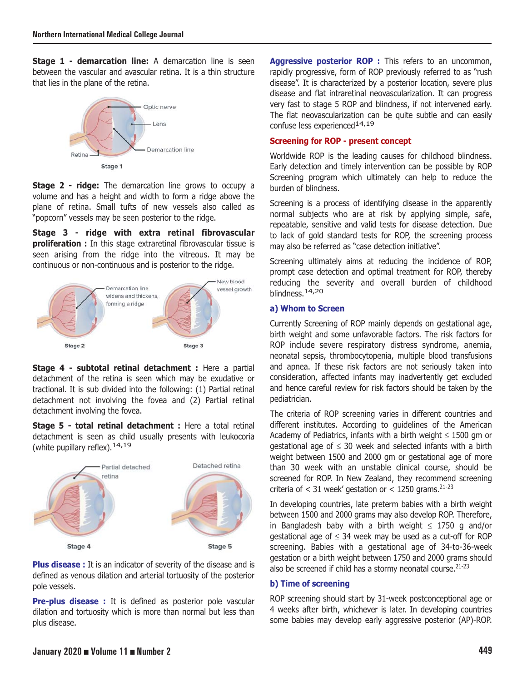**Stage 1 - demarcation line:** A demarcation line is seen between the vascular and avascular retina. It is a thin structure that lies in the plane of the retina.



**Stage 2 - ridge:** The demarcation line grows to occupy a volume and has a height and width to form a ridge above the plane of retina. Small tufts of new vessels also called as "popcorn" vessels may be seen posterior to the ridge.

**Stage 3 - ridge with extra retinal fibrovascular proliferation :** In this stage extraretinal fibrovascular tissue is seen arising from the ridge into the vitreous. It may be continuous or non-continuous and is posterior to the ridge.



**Stage 4 - subtotal retinal detachment :** Here a partial detachment of the retina is seen which may be exudative or tractional. It is sub divided into the following: (1) Partial retinal detachment not involving the fovea and (2) Partial retinal detachment involving the fovea.

**Stage 5 - total retinal detachment :** Here a total retinal detachment is seen as child usually presents with leukocoria (white pupillary reflex). 14, 19



**Plus disease :** It is an indicator of severity of the disease and is defined as venous dilation and arterial tortuosity of the posterior pole vessels.

**Pre-plus disease :** It is defined as posterior pole vascular dilation and tortuosity which is more than normal but less than plus disease.

Aggressive posterior ROP : This refers to an uncommon, rapidly progressive, form of ROP previously referred to as "rush disease". It is characterized by a posterior location, severe plus disease and flat intraretinal neovascularization. It can progress very fast to stage 5 ROP and blindness, if not intervened early. The flat neovascularization can be quite subtle and can easily confuse less experienced<sup>14,19</sup>

# **Screening for ROP - present concept**

Worldwide ROP is the leading causes for childhood blindness. Early detection and timely intervention can be possible by ROP Screening program which ultimately can help to reduce the burden of blindness.

Screening is a process of identifying disease in the apparently normal subjects who are at risk by applying simple, safe, repeatable, sensitive and valid tests for disease detection. Due to lack of gold standard tests for ROP, the screening process may also be referred as "case detection initiative".

Screening ultimately aims at reducing the incidence of ROP, prompt case detection and optimal treatment for ROP, thereby reducing the severity and overall burden of childhood blindness.<sup>14,20</sup>

## **a) Whom to Screen**

Currently Screening of ROP mainly depends on gestational age, birth weight and some unfavorable factors. The risk factors for ROP include severe respiratory distress syndrome, anemia, neonatal sepsis, thrombocytopenia, multiple blood transfusions and apnea. If these risk factors are not seriously taken into consideration, affected infants may inadvertently get excluded and hence careful review for risk factors should be taken by the pediatrician.

The criteria of ROP screening varies in different countries and different institutes. According to guidelines of the American Academy of Pediatrics, infants with a birth weight  $\leq$  1500 gm or qestational age of  $\leq$  30 week and selected infants with a birth weight between 1500 and 2000 gm or gestational age of more than 30 week with an unstable clinical course, should be screened for ROP. In New Zealand, they recommend screening criteria of  $<$  31 week' gestation or  $<$  1250 grams.<sup>21-23</sup>

In developing countries, late preterm babies with a birth weight between 1500 and 2000 grams may also develop ROP. Therefore, in Bangladesh baby with a birth weight  $\leq$  1750 g and/or gestational age of  $\leq$  34 week may be used as a cut-off for ROP screening. Babies with a gestational age of 34-to-36-week gestation or a birth weight between 1750 and 2000 grams should also be screened if child has a stormy neonatal course. $21-23$ 

## **b) Time of screening**

ROP screening should start by 31-week postconceptional age or 4 weeks after birth, whichever is later. In developing countries some babies may develop early aggressive posterior (AP)-ROP.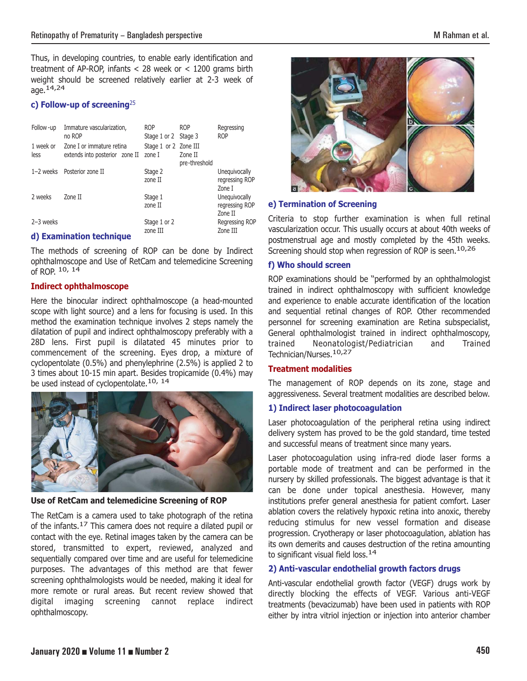Thus, in developing countries, to enable early identification and treatment of AP-ROP, infants < 28 week or < 1200 grams birth weight should be screened relatively earlier at 2-3 week of age.14,24

# **c) Follow-up of screening**<sup>25</sup>

| Follow -up        | Immature vascularization,<br>no ROP                         | <b>ROP</b><br>Stage 1 or 2 Stage 3 | <b>ROP</b>               | Regressing<br><b>ROP</b>                   |
|-------------------|-------------------------------------------------------------|------------------------------------|--------------------------|--------------------------------------------|
| 1 week or<br>less | Zone I or immature retina<br>extends into posterior zone II | Stage 1 or 2 Zone III<br>zone I    | Zone II<br>pre-threshold |                                            |
| $1-2$ weeks       | Posterior zone II                                           | Stage 2<br>zone II                 |                          | Unequivocally<br>regressing ROP<br>Zone I  |
| 2 weeks           | Zone II                                                     | Stage 1<br>zone II                 |                          | Unequivocally<br>regressing ROP<br>Zone II |
| $2-3$ weeks       | d) Evangination tooknigua                                   | Stage 1 or 2<br>zone III           |                          | Regressing ROP<br>Zone III                 |

#### **d) Examination technique**

The methods of screening of ROP can be done by Indirect ophthalmoscope and Use of RetCam and telemedicine Screening of ROP. 10, 14

## **Indirect ophthalmoscope**

Here the binocular indirect ophthalmoscope (a head-mounted scope with light source) and a lens for focusing is used. In this method the examination technique involves 2 steps namely the dilatation of pupil and indirect ophthalmoscopy preferably with a 28D lens. First pupil is dilatated 45 minutes prior to commencement of the screening. Eyes drop, a mixture of cyclopentolate (0.5%) and phenylephrine (2.5%) is applied 2 to 3 times about 10-15 min apart. Besides tropicamide (0.4%) may be used instead of cyclopentolate.<sup>10, 14</sup>



#### **Use of RetCam and telemedicine Screening of ROP**

The RetCam is a camera used to take photograph of the retina of the infants.17 This camera does not require a dilated pupil or contact with the eye. Retinal images taken by the camera can be stored, transmitted to expert, reviewed, analyzed and sequentially compared over time and are useful for telemedicine purposes. The advantages of this method are that fewer screening ophthalmologists would be needed, making it ideal for more remote or rural areas. But recent review showed that digital imaging screening cannot replace indirect ophthalmoscopy.





#### **e) Termination of Screening**

Criteria to stop further examination is when full retinal vascularization occur. This usually occurs at about 40th weeks of postmenstrual age and mostly completed by the 45th weeks. Screening should stop when regression of ROP is seen.<sup>10,26</sup>

# **f) Who should screen**

ROP examinations should be ''performed by an ophthalmologist trained in indirect ophthalmoscopy with sufficient knowledge and experience to enable accurate identification of the location and sequential retinal changes of ROP. Other recommended personnel for screening examination are Retina subspecialist, General ophthalmologist trained in indirect ophthalmoscopy, trained Neonatologist/Pediatrician and Trained Technician/Nurses.10,27

# **Treatment modalities**

The management of ROP depends on its zone, stage and aggressiveness. Several treatment modalities are described below.

## **1) Indirect laser photocoagulation**

Laser photocoagulation of the peripheral retina using indirect delivery system has proved to be the gold standard, time tested and successful means of treatment since many years.

Laser photocoagulation using infra-red diode laser forms a portable mode of treatment and can be performed in the nursery by skilled professionals. The biggest advantage is that it can be done under topical anesthesia. However, many institutions prefer general anesthesia for patient comfort. Laser ablation covers the relatively hypoxic retina into anoxic, thereby reducing stimulus for new vessel formation and disease progression. Cryotherapy or laser photocoagulation, ablation has its own demerits and causes destruction of the retina amounting to significant visual field loss.  $14$ 

## **2) Anti-vascular endothelial growth factors drugs**

Anti-vascular endothelial growth factor (VEGF) drugs work by directly blocking the effects of VEGF. Various anti-VEGF treatments (bevacizumab) have been used in patients with ROP either by intra vitriol injection or injection into anterior chamber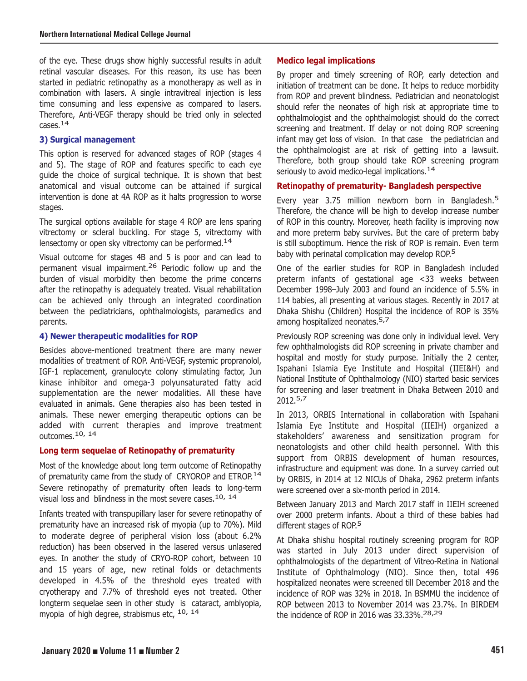of the eye. These drugs show highly successful results in adult retinal vascular diseases. For this reason, its use has been started in pediatric retinopathy as a monotherapy as well as in combination with lasers. A single intravitreal injection is less time consuming and less expensive as compared to lasers. Therefore, Anti-VEGF therapy should be tried only in selected cases.14

## **3) Surgical management**

This option is reserved for advanced stages of ROP (stages 4 and 5). The stage of ROP and features specific to each eye guide the choice of surgical technique. It is shown that best anatomical and visual outcome can be attained if surgical intervention is done at 4A ROP as it halts progression to worse stages.

The surgical options available for stage 4 ROP are lens sparing vitrectomy or scleral buckling. For stage 5, vitrectomy with lensectomy or open sky vitrectomy can be performed.<sup>14</sup>

Visual outcome for stages 4B and 5 is poor and can lead to permanent visual impairment.26 Periodic follow up and the burden of visual morbidity then become the prime concerns after the retinopathy is adequately treated. Visual rehabilitation can be achieved only through an integrated coordination between the pediatricians, ophthalmologists, paramedics and parents.

## **4) Newer therapeutic modalities for ROP**

Besides above-mentioned treatment there are many newer modalities of treatment of ROP. Anti-VEGF, systemic propranolol, IGF-1 replacement, granulocyte colony stimulating factor, Jun kinase inhibitor and omega-3 polyunsaturated fatty acid supplementation are the newer modalities. All these have evaluated in animals. Gene therapies also has been tested in animals. These newer emerging therapeutic options can be added with current therapies and improve treatment outcomes.10, 14

## **Long term sequelae of Retinopathy of prematurity**

Most of the knowledge about long term outcome of Retinopathy of prematurity came from the study of CRYOROP and ETROP.<sup>14</sup> Severe retinopathy of prematurity often leads to long-term visual loss and blindness in the most severe cases.<sup>10, 14</sup>

Infants treated with transpupillary laser for severe retinopathy of prematurity have an increased risk of myopia (up to 70%). Mild to moderate degree of peripheral vision loss (about 6.2% reduction) has been observed in the lasered versus unlasered eyes. In another the study of CRYO-ROP cohort, between 10 and 15 years of age, new retinal folds or detachments developed in 4.5% of the threshold eyes treated with cryotherapy and 7.7% of threshold eyes not treated. Other longterm sequelae seen in other study is cataract, amblyopia, myopia of high degree, strabismus etc, 10, 14

# **Medico legal implications**

By proper and timely screening of ROP, early detection and initiation of treatment can be done. It helps to reduce morbidity from ROP and prevent blindness. Pediatrician and neonatologist should refer the neonates of high risk at appropriate time to ophthalmologist and the ophthalmologist should do the correct screening and treatment. If delay or not doing ROP screening infant may get loss of vision. In that case the pediatrician and the ophthalmologist are at risk of getting into a lawsuit. Therefore, both group should take ROP screening program seriously to avoid medico-legal implications.<sup>14</sup>

## **Retinopathy of prematurity- Bangladesh perspective**

Every year 3.75 million newborn born in Bangladesh.<sup>5</sup> Therefore, the chance will be high to develop increase number of ROP in this country. Moreover, heath facility is improving now and more preterm baby survives. But the care of preterm baby is still suboptimum. Hence the risk of ROP is remain. Even term baby with perinatal complication may develop ROP.<sup>5</sup>

One of the earlier studies for ROP in Bangladesh included preterm infants of gestational age <33 weeks between December 1998–July 2003 and found an incidence of 5.5% in 114 babies, all presenting at various stages. Recently in 2017 at Dhaka Shishu (Children) Hospital the incidence of ROP is 35% among hospitalized neonates.<sup>5,7</sup>

Previously ROP screening was done only in individual level. Very few ophthalmologists did ROP screening in private chamber and hospital and mostly for study purpose. Initially the 2 center, Ispahani Islamia Eye Institute and Hospital (IIEI&H) and National Institute of Ophthalmology (NIO) started basic services for screening and laser treatment in Dhaka Between 2010 and 2012.5,7

In 2013, ORBIS International in collaboration with Ispahani Islamia Eye Institute and Hospital (IIEIH) organized a stakeholders' awareness and sensitization program for neonatologists and other child health personnel. With this support from ORBIS development of human resources, infrastructure and equipment was done. In a survey carried out by ORBIS, in 2014 at 12 NICUs of Dhaka, 2962 preterm infants were screened over a six-month period in 2014.

Between January 2013 and March 2017 staff in IIEIH screened over 2000 preterm infants. About a third of these babies had different stages of ROP.<sup>5</sup>

At Dhaka shishu hospital routinely screening program for ROP was started in July 2013 under direct supervision of ophthalmologists of the department of Vitreo-Retina in National Institute of Ophthalmology (NIO). Since then, total 496 hospitalized neonates were screened till December 2018 and the incidence of ROP was 32% in 2018. In BSMMU the incidence of ROP between 2013 to November 2014 was 23.7%. In BIRDEM the incidence of ROP in 2016 was 33.33%.28,29